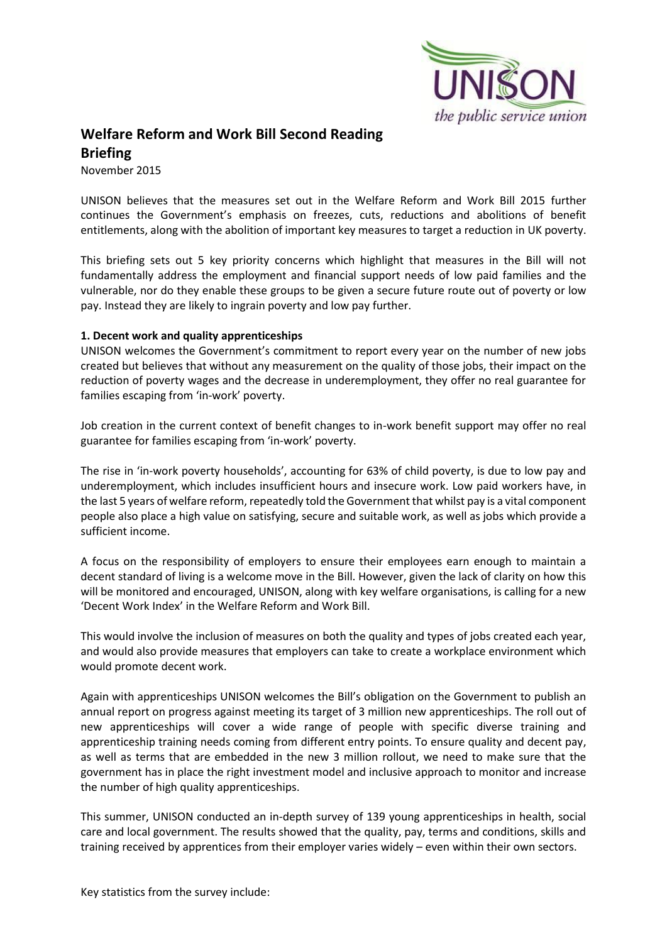

# **Welfare Reform and Work Bill Second Reading Briefing**

November 2015

UNISON believes that the measures set out in the Welfare Reform and Work Bill 2015 further continues the Government's emphasis on freezes, cuts, reductions and abolitions of benefit entitlements, along with the abolition of important key measures to target a reduction in UK poverty.

This briefing sets out 5 key priority concerns which highlight that measures in the Bill will not fundamentally address the employment and financial support needs of low paid families and the vulnerable, nor do they enable these groups to be given a secure future route out of poverty or low pay. Instead they are likely to ingrain poverty and low pay further.

#### **1. Decent work and quality apprenticeships**

UNISON welcomes the Government's commitment to report every year on the number of new jobs created but believes that without any measurement on the quality of those jobs, their impact on the reduction of poverty wages and the decrease in underemployment, they offer no real guarantee for families escaping from 'in-work' poverty.

Job creation in the current context of benefit changes to in-work benefit support may offer no real guarantee for families escaping from 'in-work' poverty.

The rise in 'in-work poverty households', accounting for 63% of child poverty, is due to low pay and underemployment, which includes insufficient hours and insecure work. Low paid workers have, in the last 5 years of welfare reform, repeatedly told the Government that whilst pay is a vital component people also place a high value on satisfying, secure and suitable work, as well as jobs which provide a sufficient income.

A focus on the responsibility of employers to ensure their employees earn enough to maintain a decent standard of living is a welcome move in the Bill. However, given the lack of clarity on how this will be monitored and encouraged, UNISON, along with key welfare organisations, is calling for a new 'Decent Work Index' in the Welfare Reform and Work Bill.

This would involve the inclusion of measures on both the quality and types of jobs created each year, and would also provide measures that employers can take to create a workplace environment which would promote decent work.

Again with apprenticeships UNISON welcomes the Bill's obligation on the Government to publish an annual report on progress against meeting its target of 3 million new apprenticeships. The roll out of new apprenticeships will cover a wide range of people with specific diverse training and apprenticeship training needs coming from different entry points. To ensure quality and decent pay, as well as terms that are embedded in the new 3 million rollout, we need to make sure that the government has in place the right investment model and inclusive approach to monitor and increase the number of high quality apprenticeships.

This summer, UNISON conducted an in-depth survey of 139 young apprenticeships in health, social care and local government. The results showed that the quality, pay, terms and conditions, skills and training received by apprentices from their employer varies widely – even within their own sectors.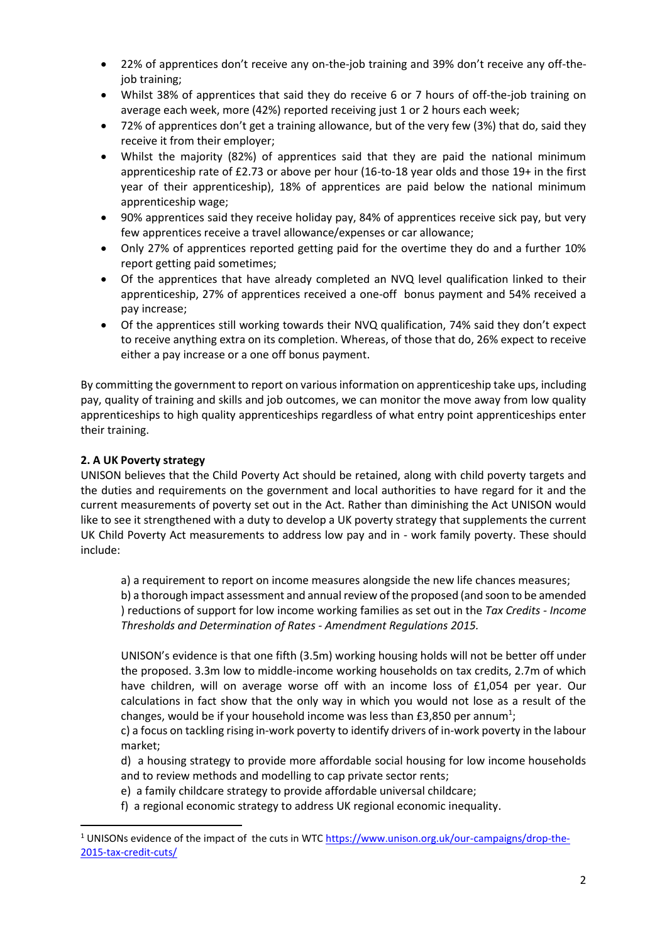- 22% of apprentices don't receive any on-the-job training and 39% don't receive any off-thejob training;
- Whilst 38% of apprentices that said they do receive 6 or 7 hours of off-the-job training on average each week, more (42%) reported receiving just 1 or 2 hours each week;
- 72% of apprentices don't get a training allowance, but of the very few (3%) that do, said they receive it from their employer;
- Whilst the majority (82%) of apprentices said that they are paid the national minimum apprenticeship rate of £2.73 or above per hour (16-to-18 year olds and those 19+ in the first year of their apprenticeship), 18% of apprentices are paid below the national minimum apprenticeship wage;
- 90% apprentices said they receive holiday pay, 84% of apprentices receive sick pay, but very few apprentices receive a travel allowance/expenses or car allowance;
- Only 27% of apprentices reported getting paid for the overtime they do and a further 10% report getting paid sometimes;
- Of the apprentices that have already completed an NVQ level qualification linked to their apprenticeship, 27% of apprentices received a one-off bonus payment and 54% received a pay increase;
- Of the apprentices still working towards their NVQ qualification, 74% said they don't expect to receive anything extra on its completion. Whereas, of those that do, 26% expect to receive either a pay increase or a one off bonus payment.

By committing the government to report on various information on apprenticeship take ups, including pay, quality of training and skills and job outcomes, we can monitor the move away from low quality apprenticeships to high quality apprenticeships regardless of what entry point apprenticeships enter their training.

### **2. A UK Poverty strategy**

**.** 

UNISON believes that the Child Poverty Act should be retained, along with child poverty targets and the duties and requirements on the government and local authorities to have regard for it and the current measurements of poverty set out in the Act. Rather than diminishing the Act UNISON would like to see it strengthened with a duty to develop a UK poverty strategy that supplements the current UK Child Poverty Act measurements to address low pay and in - work family poverty. These should include:

a) a requirement to report on income measures alongside the new life chances measures; b) a thorough impact assessment and annual review of the proposed (and soon to be amended ) reductions of support for low income working families as set out in the *Tax Credits - Income Thresholds and Determination of Rates - Amendment Regulations 2015.*

UNISON's evidence is that one fifth (3.5m) working housing holds will not be better off under the proposed. 3.3m low to middle-income working households on tax credits, 2.7m of which have children, will on average worse off with an income loss of £1,054 per year. Our calculations in fact show that the only way in which you would not lose as a result of the changes, would be if your household income was less than £3,850 per annum<sup>1</sup>;

c) a focus on tackling rising in-work poverty to identify drivers of in-work poverty in the labour market;

d) a housing strategy to provide more affordable social housing for low income households and to review methods and modelling to cap private sector rents;

e) a family childcare strategy to provide affordable universal childcare;

f) a regional economic strategy to address UK regional economic inequality.

<sup>&</sup>lt;sup>1</sup> UNISONs evidence of the impact of the cuts in WTC [https://www.unison.org.uk/our-campaigns/drop-the-](https://www.unison.org.uk/our-campaigns/drop-the-2015-tax-credit-cuts/)[2015-tax-credit-cuts/](https://www.unison.org.uk/our-campaigns/drop-the-2015-tax-credit-cuts/)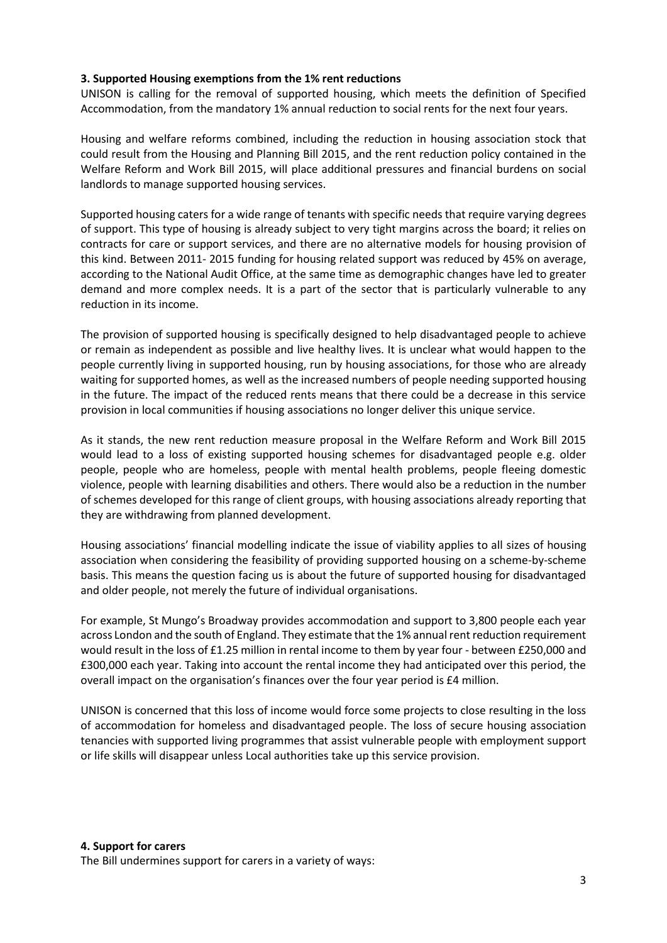#### **3. Supported Housing exemptions from the 1% rent reductions**

UNISON is calling for the removal of supported housing, which meets the definition of Specified Accommodation, from the mandatory 1% annual reduction to social rents for the next four years.

Housing and welfare reforms combined, including the reduction in housing association stock that could result from the Housing and Planning Bill 2015, and the rent reduction policy contained in the Welfare Reform and Work Bill 2015, will place additional pressures and financial burdens on social landlords to manage supported housing services.

Supported housing caters for a wide range of tenants with specific needs that require varying degrees of support. This type of housing is already subject to very tight margins across the board; it relies on contracts for care or support services, and there are no alternative models for housing provision of this kind. Between 2011- 2015 funding for housing related support was reduced by 45% on average, according to the National Audit Office, at the same time as demographic changes have led to greater demand and more complex needs. It is a part of the sector that is particularly vulnerable to any reduction in its income.

The provision of supported housing is specifically designed to help disadvantaged people to achieve or remain as independent as possible and live healthy lives. It is unclear what would happen to the people currently living in supported housing, run by housing associations, for those who are already waiting for supported homes, as well as the increased numbers of people needing supported housing in the future. The impact of the reduced rents means that there could be a decrease in this service provision in local communities if housing associations no longer deliver this unique service.

As it stands, the new rent reduction measure proposal in the Welfare Reform and Work Bill 2015 would lead to a loss of existing supported housing schemes for disadvantaged people e.g. older people, people who are homeless, people with mental health problems, people fleeing domestic violence, people with learning disabilities and others. There would also be a reduction in the number of schemes developed for this range of client groups, with housing associations already reporting that they are withdrawing from planned development.

Housing associations' financial modelling indicate the issue of viability applies to all sizes of housing association when considering the feasibility of providing supported housing on a scheme-by-scheme basis. This means the question facing us is about the future of supported housing for disadvantaged and older people, not merely the future of individual organisations.

For example, St Mungo's Broadway provides accommodation and support to 3,800 people each year across London and the south of England. They estimate that the 1% annual rent reduction requirement would result in the loss of £1.25 million in rental income to them by year four - between £250,000 and £300,000 each year. Taking into account the rental income they had anticipated over this period, the overall impact on the organisation's finances over the four year period is £4 million.

UNISON is concerned that this loss of income would force some projects to close resulting in the loss of accommodation for homeless and disadvantaged people. The loss of secure housing association tenancies with supported living programmes that assist vulnerable people with employment support or life skills will disappear unless Local authorities take up this service provision.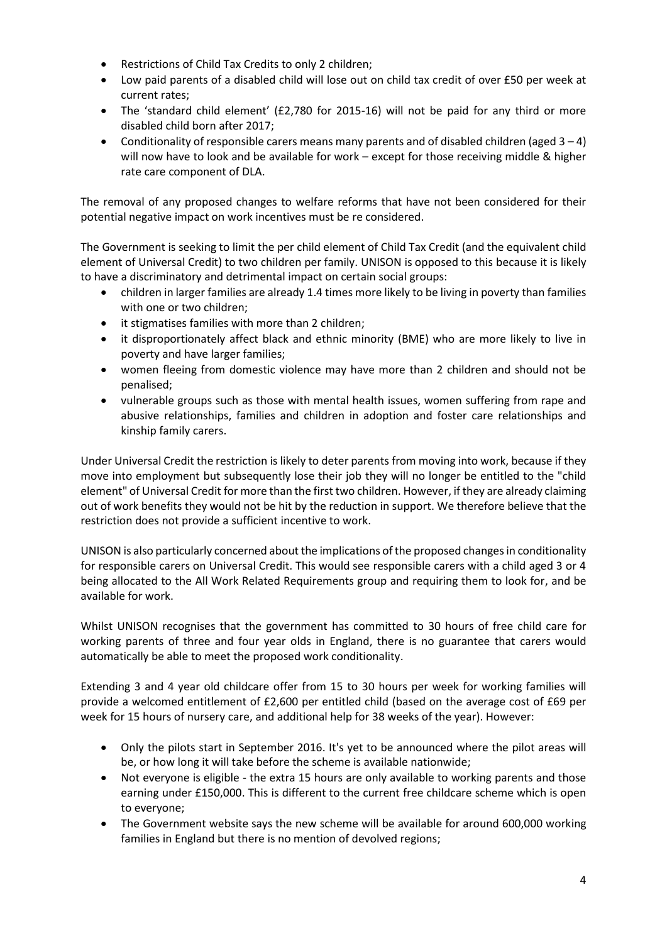- Restrictions of Child Tax Credits to only 2 children;
- Low paid parents of a disabled child will lose out on child tax credit of over £50 per week at current rates;
- The 'standard child element' (£2,780 for 2015-16) will not be paid for any third or more disabled child born after 2017;
- Conditionality of responsible carers means many parents and of disabled children (aged  $3 4$ ) will now have to look and be available for work – except for those receiving middle & higher rate care component of DLA.

The removal of any proposed changes to welfare reforms that have not been considered for their potential negative impact on work incentives must be re considered.

The Government is seeking to limit the per child element of Child Tax Credit (and the equivalent child element of Universal Credit) to two children per family. UNISON is opposed to this because it is likely to have a discriminatory and detrimental impact on certain social groups:

- children in larger families are already 1.4 times more likely to be living in poverty than families with one or two children;
- it stigmatises families with more than 2 children;
- it disproportionately affect black and ethnic minority (BME) who are more likely to live in poverty and have larger families;
- women fleeing from domestic violence may have more than 2 children and should not be penalised;
- vulnerable groups such as those with mental health issues, women suffering from rape and abusive relationships, families and children in adoption and foster care relationships and kinship family carers.

Under Universal Credit the restriction is likely to deter parents from moving into work, because if they move into employment but subsequently lose their job they will no longer be entitled to the "child element" of Universal Credit for more than the first two children. However, if they are already claiming out of work benefits they would not be hit by the reduction in support. We therefore believe that the restriction does not provide a sufficient incentive to work.

UNISON is also particularly concerned about the implications of the proposed changes in conditionality for responsible carers on Universal Credit. This would see responsible carers with a child aged 3 or 4 being allocated to the All Work Related Requirements group and requiring them to look for, and be available for work.

Whilst UNISON recognises that the government has committed to 30 hours of free child care for working parents of three and four year olds in England, there is no guarantee that carers would automatically be able to meet the proposed work conditionality.

Extending 3 and 4 year old childcare offer from 15 to 30 hours per week for working families will provide a welcomed entitlement of £2,600 per entitled child (based on the average cost of £69 per week for 15 hours of nursery care, and additional help for 38 weeks of the year). However:

- Only the pilots start in September 2016. It's yet to be announced where the pilot areas will be, or how long it will take before the scheme is available nationwide;
- Not everyone is eligible the extra 15 hours are only available to working parents and those earning under £150,000. This is different to the current free childcare scheme which is open to everyone;
- The Government website says the new scheme will be available for around 600,000 working families in England but there is no mention of devolved regions;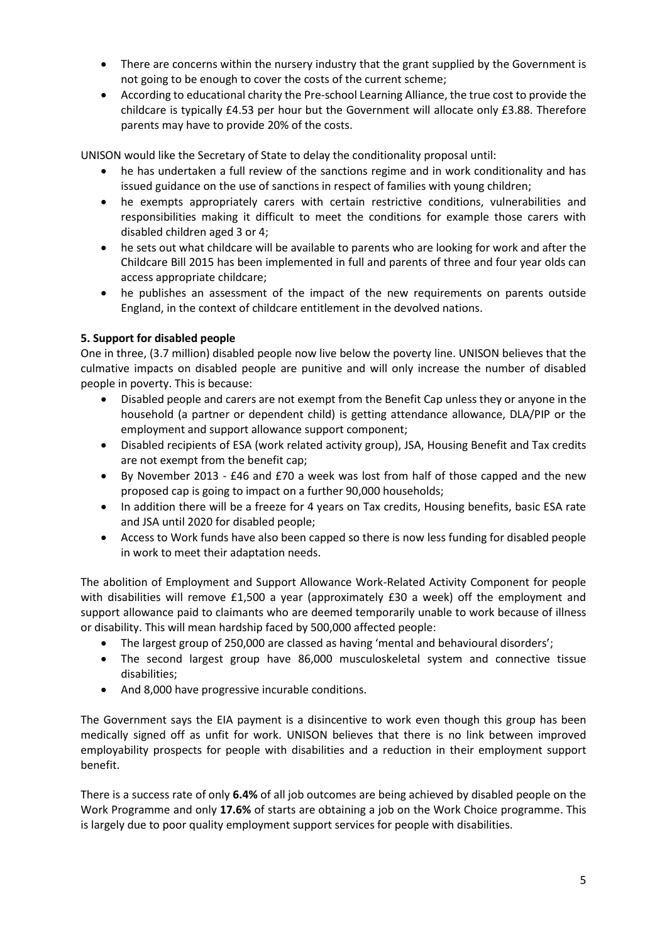- There are concerns within the nursery industry that the grant supplied by the Government is not going to be enough to cover the costs of the current scheme;
- According to educational charity the Pre-school Learning Alliance, the true cost to provide the childcare is typically £4.53 per hour but the Government will allocate only £3.88. Therefore parents may have to provide 20% of the costs.

UNISON would like the Secretary of State to delay the conditionality proposal until:

- he has undertaken a full review of the sanctions regime and in work conditionality and has issued guidance on the use of sanctions in respect of families with young children;
- he exempts appropriately carers with certain restrictive conditions, vulnerabilities and responsibilities making it difficult to meet the conditions for example those carers with disabled children aged 3 or 4;
- he sets out what childcare will be available to parents who are looking for work and after the Childcare Bill 2015 has been implemented in full and parents of three and four year olds can access appropriate childcare;
- he publishes an assessment of the impact of the new requirements on parents outside England, in the context of childcare entitlement in the devolved nations.

## **5. Support for disabled people**

One in three, (3.7 million) disabled people now live below the poverty line. UNISON believes that the culmative impacts on disabled people are punitive and will only increase the number of disabled people in poverty. This is because:

- Disabled people and carers are not exempt from the Benefit Cap unless they or anyone in the household (a partner or dependent child) is getting attendance allowance, DLA/PIP or the employment and support allowance support component;
- Disabled recipients of ESA (work related activity group), JSA, Housing Benefit and Tax credits are not exempt from the benefit cap;
- By November 2013 £46 and £70 a week was lost from half of those capped and the new proposed cap is going to impact on a further 90,000 households;
- In addition there will be a freeze for 4 years on Tax credits, Housing benefits, basic ESA rate and JSA until 2020 for disabled people;
- Access to Work funds have also been capped so there is now less funding for disabled people in work to meet their adaptation needs.

The abolition of Employment and Support Allowance Work-Related Activity Component for people with disabilities will remove £1,500 a year (approximately £30 a week) off the employment and support allowance paid to claimants who are deemed temporarily unable to work because of illness or disability. This will mean hardship faced by 500,000 affected people:

- The largest group of 250,000 are classed as having 'mental and behavioural disorders';
- The second largest group have 86,000 musculoskeletal system and connective tissue disabilities;
- And 8,000 have progressive incurable conditions.

The Government says the EIA payment is a disincentive to work even though this group has been medically signed off as unfit for work. UNISON believes that there is no link between improved employability prospects for people with disabilities and a reduction in their employment support benefit.

There is a success rate of only **6.4%** of all job outcomes are being achieved by disabled people on the Work Programme and only **17.6%** of starts are obtaining a job on the Work Choice programme. This is largely due to poor quality employment support services for people with disabilities.